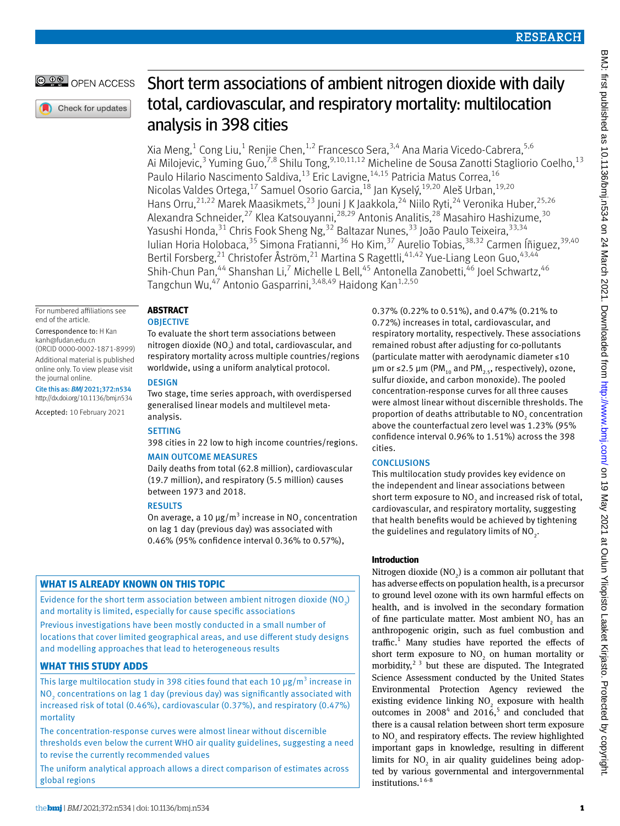### OPEN ACCESS

Check for updates

# Short term associations of ambient nitrogen dioxide with daily total, cardiovascular, and respiratory mortality: multilocation analysis in 398 cities

Xia Meng,<sup>1</sup> Cong Liu,<sup>1</sup> Renjie Chen,<sup>1,2</sup> Francesco Sera,<sup>3,4</sup> Ana Maria Vicedo-Cabrera,<sup>5,6</sup> Ai Milojevic,<sup>3</sup> Yuming Guo,<sup>7,8</sup> Shilu Tong,<sup>9,10,11,12</sup> Micheline de Sousa Zanotti Stagliorio Coelho,<sup>13</sup> Paulo Hilario Nascimento Saldiva, <sup>13</sup> Eric Lavigne, <sup>14,15</sup> Patricia Matus Correa, <sup>16</sup> Nicolas Valdes Ortega,<sup>17</sup> Samuel Osorio Garcia,<sup>18</sup> Jan Kyselý,<sup>19,20</sup> Aleš Urban,<sup>19,20</sup> Hans Orru,<sup>21,22</sup> Marek Maasikmets,<sup>23</sup> Jouni J K Jaakkola,<sup>24</sup> Niilo Ryti,<sup>24</sup> Veronika Huber,<sup>25,26</sup> Alexandra Schneider,<sup>27</sup> Klea Katsouyanni,<sup>28,29</sup> Antonis Analitis,<sup>28</sup> Masahiro Hashizume,<sup>30</sup> Yasushi Honda,<sup>31</sup> Chris Fook Sheng Ng,<sup>32</sup> Baltazar Nunes,<sup>33</sup> João Paulo Teixeira,<sup>33,34</sup> Iulian Horia Holobaca,<sup>35</sup> Simona Fratianni,<sup>36</sup> Ho Kim,<sup>37</sup> Aurelio Tobias,<sup>38,32</sup> Carmen Íñiguez,<sup>39,40</sup> Bertil Forsberg,<sup>21</sup> Christofer Åström,<sup>21</sup> Martina S Ragettli,<sup>41,42</sup> Yue-Liang Leon Guo,<sup>43,44</sup> Shih-Chun Pan,<sup>44</sup> Shanshan Li,<sup>7</sup> Michelle L Bell,<sup>45</sup> Antonella Zanobetti,<sup>46</sup> Joel Schwartz,<sup>46</sup> Tangchun Wu,<sup>47</sup> Antonio Gasparrini,<sup>3,48,49</sup> Haidong Kan<sup>1,2,50</sup>

#### For numbered affiliations see end of the article.

#### Correspondence to: H Kan [kanh@fudan.edu.cn](mailto:kanh@fudan.edu.cn) (ORCID [0000-0002-1871-8999\)](http://orcid.org/0000-0002-1871-8999) Additional material is published online only. To view please visit the journal online.

Cite this as: *BMJ* 2021;372:n534 http://dx.doi.org/10.1136/bmj.n534

Accepted: 10 February 2021

## **Abstract**

### **OBJECTIVE**

To evaluate the short term associations between nitrogen dioxide (NO $_{2}$ ) and total, cardiovascular, and respiratory mortality across multiple countries/regions worldwide, using a uniform analytical protocol.

### **DESIGN**

Two stage, time series approach, with overdispersed generalised linear models and multilevel metaanalysis.

### **SETTING**

398 cities in 22 low to high income countries/regions.

### Main outcome measures

Daily deaths from total (62.8 million), cardiovascular (19.7 million), and respiratory (5.5 million) causes between 1973 and 2018.

### **RESULTS**

On average, a 10 μg/m<sup>3</sup> increase in NO<sub>2</sub> concentration on lag 1 day (previous day) was associated with 0.46% (95% confidence interval 0.36% to 0.57%),

### **What is already known on this topic**

Evidence for the short term association between ambient nitrogen dioxide (NO2) and mortality is limited, especially for cause specific associations Previous investigations have been mostly conducted in a small number of locations that cover limited geographical areas, and use different study designs and modelling approaches that lead to heterogeneous results

### **What this study adds**

This large multilocation study in 398 cities found that each 10  $\mu$ g/m<sup>3</sup> increase in NO2 concentrations on lag 1 day (previous day) was significantly associated with increased risk of total (0.46%), cardiovascular (0.37%), and respiratory (0.47%) mortality

The concentration-response curves were almost linear without discernible thresholds even below the current WHO air quality guidelines, suggesting a need to revise the currently recommended values

The uniform analytical approach allows a direct comparison of estimates across global regions

0.37% (0.22% to 0.51%), and 0.47% (0.21% to 0.72%) increases in total, cardiovascular, and respiratory mortality, respectively. These associations remained robust after adjusting for co-pollutants (particulate matter with aerodynamic diameter ≤10 μm or ≤2.5 μm (PM<sub>10</sub> and PM<sub>2.5</sub>, respectively), ozone, sulfur dioxide, and carbon monoxide). The pooled concentration-response curves for all three causes were almost linear without discernible thresholds. The proportion of deaths attributable to  $NO<sub>2</sub>$  concentration above the counterfactual zero level was 1.23% (95% confidence interval 0.96% to 1.51%) across the 398 cities.

### **CONCLUSIONS**

This multilocation study provides key evidence on the independent and linear associations between short term exposure to  $\mathrm{NO}_2$  and increased risk of total, cardiovascular, and respiratory mortality, suggesting that health benefits would be achieved by tightening the guidelines and regulatory limits of NO<sub>2</sub>.

### **Introduction**

Nitrogen dioxide  $(NO<sub>2</sub>)$  is a common air pollutant that has adverse effects on population health, is a precursor to ground level ozone with its own harmful effects on health, and is involved in the secondary formation of fine particulate matter. Most ambient  $NO<sub>2</sub>$  has an anthropogenic origin, such as fuel combustion and traffic.<sup>1</sup> Many studies have reported the effects of short term exposure to  $NO<sub>2</sub>$  on human mortality or morbidity,<sup>2 3</sup> but these are disputed. The Integrated Science Assessment conducted by the United States Environmental Protection Agency reviewed the existing evidence linking  $NO<sub>2</sub>$  exposure with health outcomes in  $2008<sup>4</sup>$  and  $2016<sup>5</sup>$  and concluded that there is a causal relation between short term exposure to  $NO<sub>2</sub>$  and respiratory effects. The review highlighted important gaps in knowledge, resulting in different limits for  $NO<sub>2</sub>$  in air quality guidelines being adopted by various governmental and intergovernmental institutions.<sup>16-8</sup>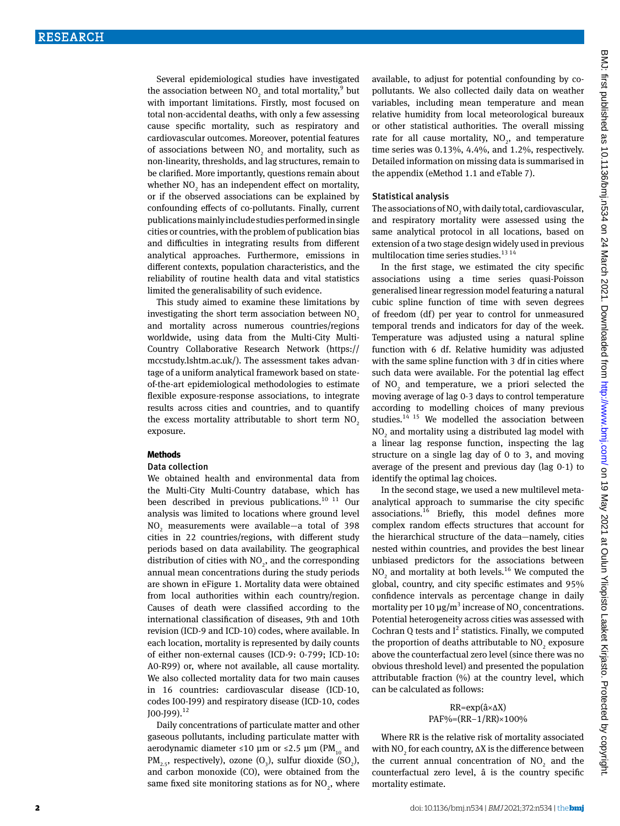Several epidemiological studies have investigated the association between  $NO_2$  and total mortality,  $9$  but with important limitations. Firstly, most focused on total non-accidental deaths, with only a few assessing cause specific mortality, such as respiratory and cardiovascular outcomes. Moreover, potential features of associations between  $NO<sub>2</sub>$  and mortality, such as non-linearity, thresholds, and lag structures, remain to be clarified. More importantly, questions remain about whether  $NO<sub>2</sub>$  has an independent effect on mortality, or if the observed associations can be explained by confounding effects of co-pollutants. Finally, current publications mainly include studies performed in single cities or countries, with the problem of publication bias and difficulties in integrating results from different analytical approaches. Furthermore, emissions in different contexts, population characteristics, and the reliability of routine health data and vital statistics limited the generalisability of such evidence.

This study aimed to examine these limitations by investigating the short term association between NO<sub>2</sub> and mortality across numerous countries/regions worldwide, using data from the Multi-City Multi-Country Collaborative Research Network ([https://](https://mccstudy.lshtm.ac.uk/) [mccstudy.lshtm.ac.uk/\)](https://mccstudy.lshtm.ac.uk/). The assessment takes advantage of a uniform analytical framework based on stateof-the-art epidemiological methodologies to estimate flexible exposure-response associations, to integrate results across cities and countries, and to quantify the excess mortality attributable to short term  $NO<sub>2</sub>$ exposure.

#### **Methods**

#### Data collection

We obtained health and environmental data from the Multi-City Multi-Country database, which has been described in previous publications. $10^{-11}$  Our analysis was limited to locations where ground level NO<sub>2</sub> measurements were available—a total of 398 cities in 22 countries/regions, with different study periods based on data availability. The geographical distribution of cities with  $NO<sub>2</sub>$ , and the corresponding annual mean concentrations during the study periods are shown in eFigure 1. Mortality data were obtained from local authorities within each country/region. Causes of death were classified according to the international classification of diseases, 9th and 10th revision (ICD-9 and ICD-10) codes, where available. In each location, mortality is represented by daily counts of either non-external causes (ICD-9: 0-799; ICD-10: A0-R99) or, where not available, all cause mortality. We also collected mortality data for two main causes in 16 countries: cardiovascular disease (ICD-10, codes I00-I99) and respiratory disease (ICD-10, codes  $[100 - 199]$ .<sup>12</sup>

Daily concentrations of particulate matter and other gaseous pollutants, including particulate matter with aerodynamic diameter ≤10 μm or ≤2.5 μm (PM<sub>10</sub> and  $PM_{2.5}$ , respectively), ozone  $(O_3)$ , sulfur dioxide  $(SO_2)$ , and carbon monoxide (CO), were obtained from the same fixed site monitoring stations as for  $NO_2$ , where available, to adjust for potential confounding by copollutants. We also collected daily data on weather variables, including mean temperature and mean relative humidity from local meteorological bureaux or other statistical authorities. The overall missing rate for all cause mortality,  $NO<sub>2</sub>$ , and temperature time series was 0.13%, 4.4%, and 1.2%, respectively. Detailed information on missing data is summarised in the appendix (eMethod 1.1 and eTable 7).

#### Statistical analysis

The associations of  $\mathrm{NO}_2$  with daily total, cardiovascular, and respiratory mortality were assessed using the same analytical protocol in all locations, based on extension of a two stage design widely used in previous multilocation time series studies.<sup>13 14</sup>

In the first stage, we estimated the city specific associations using a time series quasi-Poisson generalised linear regression model featuring a natural cubic spline function of time with seven degrees of freedom (df) per year to control for unmeasured temporal trends and indicators for day of the week. Temperature was adjusted using a natural spline function with 6 df. Relative humidity was adjusted with the same spline function with 3 df in cities where such data were available. For the potential lag effect of  $NO<sub>2</sub>$  and temperature, we a priori selected the moving average of lag 0-3 days to control temperature according to modelling choices of many previous studies. $14$  15 We modelled the association between  $\rm NO_2$  and mortality using a distributed lag model with a linear lag response function, inspecting the lag structure on a single lag day of 0 to 3, and moving average of the present and previous day (lag 0-1) to identify the optimal lag choices.

In the second stage, we used a new multilevel metaanalytical approach to summarise the city specific associations.16 Briefly, this model defines more complex random effects structures that account for the hierarchical structure of the data—namely, cities nested within countries, and provides the best linear unbiased predictors for the associations between  $NO<sub>2</sub>$  and mortality at both levels.<sup>16</sup> We computed the global, country, and city specific estimates and 95% confidence intervals as percentage change in daily mortality per 10  $\mu$ g/m<sup>3</sup> increase of NO<sub>2</sub> concentrations. Potential heterogeneity across cities was assessed with Cochran Q tests and  $I^2$  statistics. Finally, we computed the proportion of deaths attributable to  $NO_2$  exposure above the counterfactual zero level (since there was no obvious threshold level) and presented the population attributable fraction (%) at the country level, which can be calculated as follows:

### RR=exp(â×∆X) PAF%=(RR-1/RR)×100%

Where RR is the relative risk of mortality associated with  $NO<sub>2</sub>$  for each country,  $\Delta X$  is the difference between the current annual concentration of  $NO<sub>2</sub>$  and the counterfactual zero level, â is the country specific mortality estimate.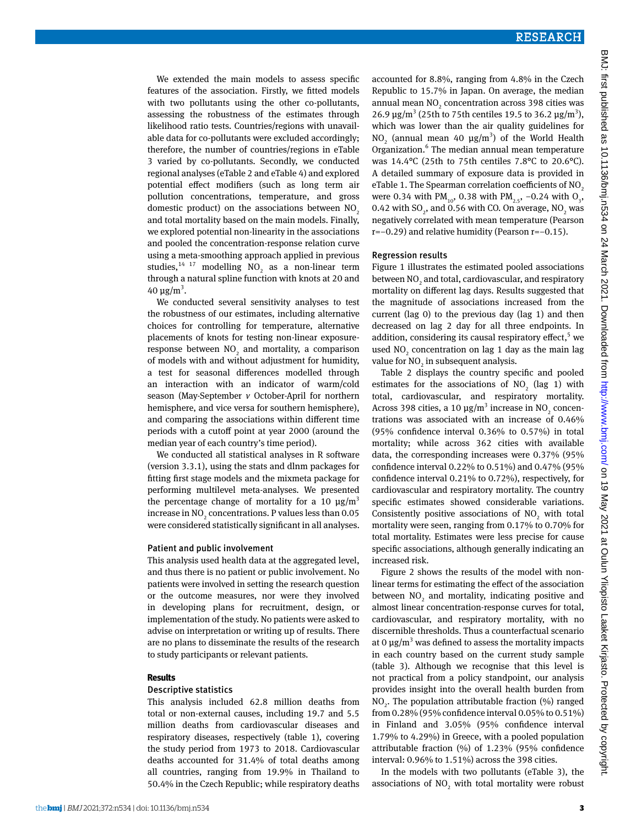We extended the main models to assess specific features of the association. Firstly, we fitted models with two pollutants using the other co-pollutants, assessing the robustness of the estimates through likelihood ratio tests. Countries/regions with unavailable data for co-pollutants were excluded accordingly; therefore, the number of countries/regions in eTable 3 varied by co-pollutants. Secondly, we conducted regional analyses (eTable 2 and eTable 4) and explored potential effect modifiers (such as long term air pollution concentrations, temperature, and gross domestic product) on the associations between  $NO<sub>2</sub>$ and total mortality based on the main models. Finally, we explored potential non-linearity in the associations and pooled the concentration-response relation curve using a meta-smoothing approach applied in previous studies,  $14 \frac{17}{17}$  modelling NO<sub>2</sub> as a non-linear term through a natural spline function with knots at 20 and 40 μg/m<sup>3</sup>.

We conducted several sensitivity analyses to test the robustness of our estimates, including alternative choices for controlling for temperature, alternative placements of knots for testing non-linear exposureresponse between  $NO<sub>2</sub>$  and mortality, a comparison of models with and without adjustment for humidity, a test for seasonal differences modelled through an interaction with an indicator of warm/cold season (May-September *v* October-April for northern hemisphere, and vice versa for southern hemisphere), and comparing the associations within different time periods with a cutoff point at year 2000 (around the median year of each country's time period).

We conducted all statistical analyses in R software (version 3.3.1), using the stats and dlnm packages for fitting first stage models and the mixmeta package for performing multilevel meta-analyses. We presented the percentage change of mortality for a 10  $\mu$ g/m<sup>3</sup> increase in  $\rm NO_2$  concentrations. P values less than 0.05 were considered statistically significant in all analyses.

#### Patient and public involvement

This analysis used health data at the aggregated level, and thus there is no patient or public involvement. No patients were involved in setting the research question or the outcome measures, nor were they involved in developing plans for recruitment, design, or implementation of the study. No patients were asked to advise on interpretation or writing up of results. There are no plans to disseminate the results of the research to study participants or relevant patients.

#### **Results**

#### Descriptive statistics

This analysis included 62.8 million deaths from total or non-external causes, including 19.7 and 5.5 million deaths from cardiovascular diseases and respiratory diseases, respectively (table 1), covering the study period from 1973 to 2018. Cardiovascular deaths accounted for 31.4% of total deaths among all countries, ranging from 19.9% in Thailand to 50.4% in the Czech Republic; while respiratory deaths

#### Regression results

Figure 1 illustrates the estimated pooled associations between  $\mathrm{NO}_2$  and total, cardiovascular, and respiratory mortality on different lag days. Results suggested that the magnitude of associations increased from the current (lag 0) to the previous day (lag 1) and then decreased on lag 2 day for all three endpoints. In addition, considering its causal respiratory effect,<sup>5</sup> we used  $NO_2$  concentration on lag 1 day as the main lag value for  $NO<sub>2</sub>$  in subsequent analysis.

Table 2 displays the country specific and pooled estimates for the associations of  $NO<sub>2</sub>$  (lag 1) with total, cardiovascular, and respiratory mortality. Across 398 cities, a 10  $\mu$ g/m<sup>3</sup> increase in NO<sub>2</sub> concentrations was associated with an increase of 0.46% (95% confidence interval 0.36% to 0.57%) in total mortality; while across 362 cities with available data, the corresponding increases were 0.37% (95% confidence interval 0.22% to 0.51%) and 0.47% (95% confidence interval 0.21% to 0.72%), respectively, for cardiovascular and respiratory mortality. The country specific estimates showed considerable variations. Consistently positive associations of  $NO<sub>2</sub>$  with total mortality were seen, ranging from 0.17% to 0.70% for total mortality. Estimates were less precise for cause specific associations, although generally indicating an increased risk.

Figure 2 shows the results of the model with nonlinear terms for estimating the effect of the association between  $NO<sub>2</sub>$  and mortality, indicating positive and almost linear concentration-response curves for total, cardiovascular, and respiratory mortality, with no discernible thresholds. Thus a counterfactual scenario at 0  $\mu$ g/m<sup>3</sup> was defined to assess the mortality impacts in each country based on the current study sample (table 3). Although we recognise that this level is not practical from a policy standpoint, our analysis provides insight into the overall health burden from  $NO<sub>2</sub>$ . The population attributable fraction (%) ranged from 0.28% (95% confidence interval 0.05% to 0.51%) in Finland and 3.05% (95% confidence interval 1.79% to 4.29%) in Greece, with a pooled population attributable fraction (%) of 1.23% (95% confidence interval: 0.96% to 1.51%) across the 398 cities.

In the models with two pollutants (eTable 3), the associations of  $NO<sub>2</sub>$  with total mortality were robust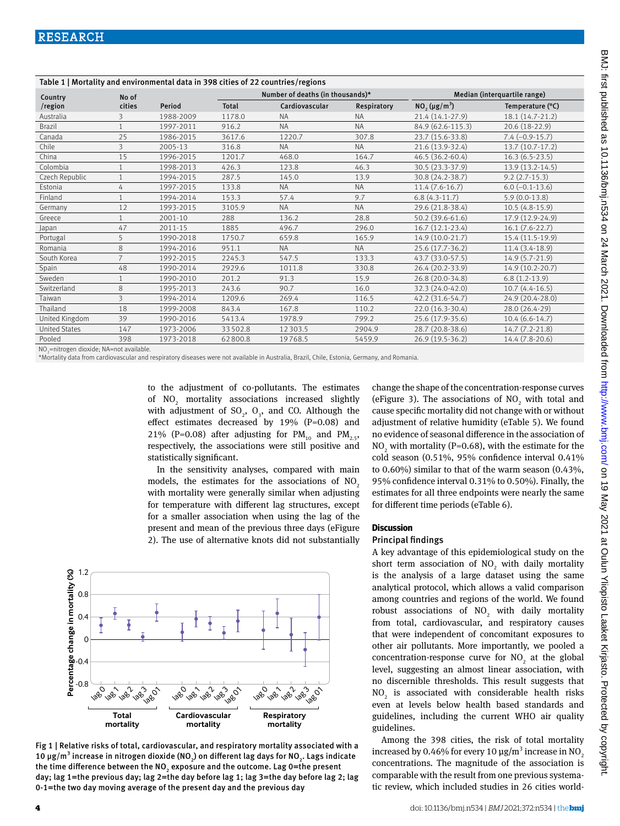| Table 1   Mortality and environmental data in 398 cities of 22 countries/regions |                |             |                                  |                |             |                              |                         |  |
|----------------------------------------------------------------------------------|----------------|-------------|----------------------------------|----------------|-------------|------------------------------|-------------------------|--|
| Country                                                                          | No of          |             | Number of deaths (in thousands)* |                |             | Median (interquartile range) |                         |  |
| /region                                                                          | cities         | Period      | <b>Total</b>                     | Cardiovascular | Respiratory | $NO_2 (\mu g/m^3)$           | Temperature (°C)        |  |
| Australia                                                                        |                | 1988-2009   | 1178.0                           | <b>NA</b>      | <b>NA</b>   | 21.4 (14.1-27.9)             | 18.1 (14.7-21.2)        |  |
| <b>Brazil</b>                                                                    |                | 1997-2011   | 916.2                            | <b>NA</b>      | <b>NA</b>   | 84.9 (62.6-115.3)            | 20.6 (18-22.9)          |  |
| Canada                                                                           | 25             | 1986-2015   | 3617.6                           | 1220.7         | 307.8       | 23.7 (15.6-33.8)             | $7.4 (-0.9-15.7)$       |  |
| Chile                                                                            | 3              | 2005-13     | 316.8                            | <b>NA</b>      | <b>NA</b>   | 21.6 (13.9-32.4)             | $13.7(10.7-17.2)$       |  |
| China                                                                            | 15             | 1996-2015   | 1201.7                           | 468.0          | 164.7       | 46.5 (36.2-60.4)             | $16.3(6.5-23.5)$        |  |
| Colombia                                                                         | $\mathbf{1}$   | 1998-2013   | 426.3                            | 123.8          | 46.3        | 30.5 (23.3-37.9)             | 13.9 (13.2-14.5)        |  |
| Czech Republic                                                                   | $\mathbf{1}$   | 1994-2015   | 287.5                            | 145.0          | 13.9        | 30.8 (24.2-38.7)             | $9.2$ (2.7-15.3)        |  |
| Estonia                                                                          | 4              | 1997-2015   | 133.8                            | <b>NA</b>      | <b>NA</b>   | $11.4(7.6-16.7)$             | $6.0$ ( $-0.1 - 13.6$ ) |  |
| Finland                                                                          |                | 1994-2014   | 153.3                            | 57.4           | 9.7         | $6.8(4.3-11.7)$              | $5.9(0.0-13.8)$         |  |
| Germany                                                                          | 12             | 1993-2015   | 3105.9                           | <b>NA</b>      | <b>NA</b>   | 29.6 (21.8-38.4)             | $10.5(4.8-15.9)$        |  |
| Greece                                                                           |                | 2001-10     | 288                              | 136.2          | 28.8        | 50.2 (39.6-61.6)             | 17.9 (12.9-24.9)        |  |
| Japan                                                                            | 47             | $2011 - 15$ | 1885                             | 496.7          | 296.0       | $16.7(12.1-23.4)$            | $16.1 (7.6 - 22.7)$     |  |
| Portugal                                                                         | 5              | 1990-2018   | 1750.7                           | 659.8          | 165.9       | 14.9 (10.0-21.7)             | 15.4 (11.5-19.9)        |  |
| Romania                                                                          | 8              | 1994-2016   | 951.1                            | <b>NA</b>      | <b>NA</b>   | 25.6 (17.7-36.2)             | $11.4(3.4-18.9)$        |  |
| South Korea                                                                      | $\overline{7}$ | 1992-2015   | 2245.3                           | 547.5          | 133.3       | 43.7 (33.0-57.5)             | 14.9 (5.7-21.9)         |  |
| Spain                                                                            | 48             | 1990-2014   | 2929.6                           | 1011.8         | 330.8       | 26.4 (20.2-33.9)             | 14.9 (10.2-20.7)        |  |
| Sweden                                                                           | $\mathbf{1}$   | 1990-2010   | 201.2                            | 91.3           | 15.9        | 26.8 (20.0-34.8)             | $6.8(1.2-13.9)$         |  |
| Switzerland                                                                      | 8              | 1995-2013   | 243.6                            | 90.7           | 16.0        | 32.3 (24.0-42.0)             | $10.7(4.4-16.5)$        |  |
| Taiwan                                                                           | 3              | 1994-2014   | 1209.6                           | 269.4          | 116.5       | 42.2 (31.6-54.7)             | 24.9 (20.4-28.0)        |  |
| Thailand                                                                         | 18             | 1999-2008   | 843.4                            | 167.8          | 110.2       | 22.0 (16.3-30.4)             | 28.0 (26.4-29)          |  |
| United Kingdom                                                                   | 39             | 1990-2016   | 5413.4                           | 1978.9         | 799.2       | 25.6 (17.9-35.6)             | $10.4(6.6-14.7)$        |  |
| <b>United States</b>                                                             | 147            | 1973-2006   | 33502.8                          | 12 3 0 3.5     | 2904.9      | 28.7 (20.8-38.6)             | 14.7 (7.2-21.8)         |  |
| Pooled                                                                           | 398            | 1973-2018   | 62800.8                          | 19768.5        | 5459.9      | 26.9 (19.5-36.2)             | 14.4 (7.8-20.6)         |  |

NO<sub>2</sub>=nitrogen dioxide; NA=not available.

\*Mortality data from cardiovascular and respiratory diseases were not available in Australia, Brazil, Chile, Estonia, Germany, and Romania.

to the adjustment of co-pollutants. The estimates of  $NO<sub>2</sub>$  mortality associations increased slightly with adjustment of  $SO_2$ ,  $O_3$ , and CO. Although the effect estimates decreased by 19% (P=0.08) and 21% (P=0.08) after adjusting for  $PM_{10}$  and  $PM_{2.5}$ , respectively, the associations were still positive and statistically significant.

In the sensitivity analyses, compared with main models, the estimates for the associations of  $NO<sub>2</sub>$ with mortality were generally similar when adjusting for temperature with different lag structures, except for a smaller association when using the lag of the present and mean of the previous three days (eFigure 2). The use of alternative knots did not substantially

1.2 Percentage change in mortality (%) **Percentage change in mortality (%)**<br> **Percentage change in mortality**<br>  $\therefore$ <br>  $\therefore$ <br>  $\therefore$ <br>  $\therefore$ <br>  $\therefore$ <br>  $\therefore$ <br>  $\therefore$ <br>  $\therefore$ <br>  $\therefore$ <br>  $\therefore$ <br>  $\therefore$ <br>  $\therefore$ <br>  $\therefore$ <br>  $\therefore$ <br>  $\therefore$ <br>  $\therefore$ <br>  $\therefore$ <br>  $\therefore$ <br>  $\therefore$ <br>  $\therefore$ <br>  $\therefore$ <br>  $\there$ 0.8 0.4  $\mathcal{C}_{\mathcal{C}}$ -0.4 -0.8 lago lago lag 2 lag<br>1981 )<br>1080 lago lago laga<sup>2</sup> lag<br>1981 )<br>1001 lago l<sub>ago</sub> laga.<br>Laga lag<br>1981 )<br>1001 **Respiratory Total Cardiovascular mortality mortality mortality**

Fig 1 | Relative risks of total, cardiovascular, and respiratory mortality associated with a 10 μg/m $^3$  increase in nitrogen dioxide (NO $_{\rm 2}$ ) on different lag days for NO $_{\rm 2}$ . Lags indicate the time difference between the NO<sub>2</sub> exposure and the outcome. Lag 0=the present day; lag 1=the previous day; lag 2=the day before lag 1; lag 3=the day before lag 2; lag 0-1=the two day moving average of the present day and the previous day

change the shape of the concentration-response curves (eFigure 3). The associations of  $NO<sub>2</sub>$  with total and cause specific mortality did not change with or without adjustment of relative humidity (eTable 5). We found no evidence of seasonal difference in the association of  $NO<sub>2</sub>$  with mortality (P=0.68), with the estimate for the cold season (0.51%, 95% confidence interval 0.41% to 0.60%) similar to that of the warm season (0.43%, 95% confidence interval 0.31% to 0.50%). Finally, the estimates for all three endpoints were nearly the same for different time periods (eTable 6).

#### **Discussion**

#### Principal findings

A key advantage of this epidemiological study on the short term association of  $NO<sub>2</sub>$  with daily mortality is the analysis of a large dataset using the same analytical protocol, which allows a valid comparison among countries and regions of the world. We found robust associations of  $NO<sub>2</sub>$  with daily mortality from total, cardiovascular, and respiratory causes that were independent of concomitant exposures to other air pollutants. More importantly, we pooled a concentration-response curve for  $NO<sub>2</sub>$  at the global level, suggesting an almost linear association, with no discernible thresholds. This result suggests that  $\rm NO_2$  is associated with considerable health risks even at levels below health based standards and guidelines, including the current WHO air quality guidelines.

Among the 398 cities, the risk of total mortality increased by 0.46% for every 10  $\mu$ g/m<sup>3</sup> increase in NO<sub>2</sub> concentrations. The magnitude of the association is comparable with the result from one previous systematic review, which included studies in 26 cities world-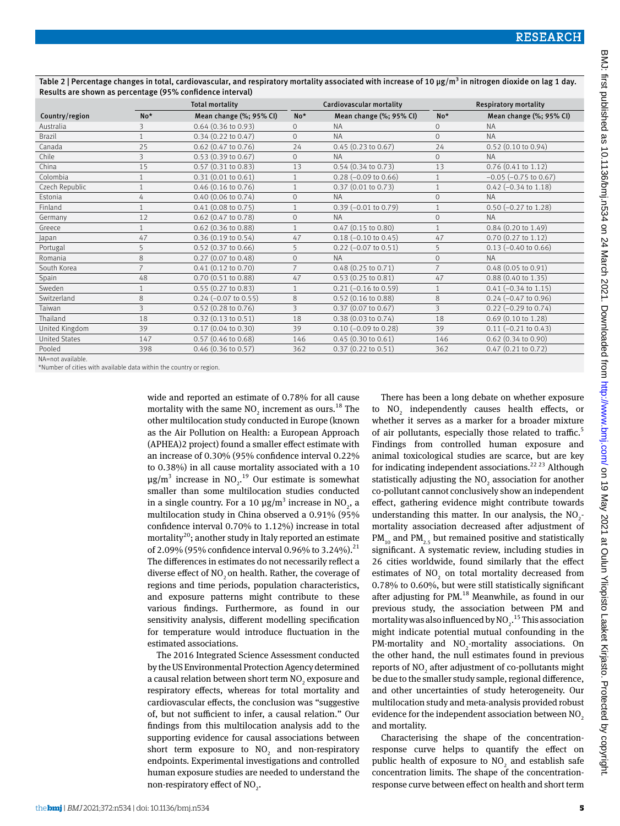|                      | <b>Total mortality</b> |                               |                | Cardiovascular mortality      | <b>Respiratory mortality</b> |                               |
|----------------------|------------------------|-------------------------------|----------------|-------------------------------|------------------------------|-------------------------------|
| Country/region       | No*                    | Mean change (%; 95% CI)       | $No*$          | Mean change (%; 95% CI)       | No*                          | Mean change (%; 95% CI)       |
| Australia            | 3                      | $0.64$ (0.36 to 0.93)         | 0              | <b>NA</b>                     | $\circ$                      | <b>NA</b>                     |
| <b>Brazil</b>        | $\mathbf{1}$           | $0.34(0.22 \text{ to } 0.47)$ | $\Omega$       | <b>NA</b>                     | $\Omega$                     | <b>NA</b>                     |
| Canada               | 25                     | 0.62 (0.47 to 0.76)           | 24             | $0.45(0.23 \text{ to } 0.67)$ | 24                           | $0.52$ (0.10 to 0.94)         |
| Chile                | 3                      | $0.53$ (0.39 to 0.67)         | $\Omega$       | <b>NA</b>                     | $\circ$                      | <b>NA</b>                     |
| China                | 15                     | $0.57$ $(0.31$ to $0.83)$     | 13             | $0.54$ $(0.34$ to $0.73)$     | 13                           | $0.76$ (0.41 to 1.12)         |
| Colombia             | $\mathbf{1}$           | 0.31(0.01 to 0.61)            | $\mathbf{1}$   | $0.28$ (-0.09 to 0.66)        |                              | $-0.05$ ( $-0.75$ to 0.67)    |
| Czech Republic       | 1                      | $0.46$ (0.16 to 0.76)         |                | 0.37(0.01 to 0.73)            |                              | $0.42$ (-0.34 to 1.18)        |
| Estonia              | 4                      | $0.40$ (0.06 to 0.74)         | $\mathbf{O}$   | <b>NA</b>                     | $\Omega$                     | <b>NA</b>                     |
| Finland              |                        | $0.41$ (0.08 to 0.75)         |                | $0.39$ (-0.01 to 0.79)        |                              | $0.50$ (-0.27 to 1.28)        |
| Germany              | 12                     | $0.62$ (0.47 to 0.78)         | $\overline{0}$ | <b>NA</b>                     | $\circ$                      | <b>NA</b>                     |
| Greece               | $\mathbf{1}$           | $0.62$ (0.36 to 0.88)         | $\mathbf{1}$   | $0.47$ (0.15 to 0.80)         |                              | $0.84$ (0.20 to 1.49)         |
| Japan                | 47                     | 0.36(0.19 to 0.54)            | 47             | $0.18$ (-0.10 to 0.45)        | 47                           | $0.70$ $(0.27$ to $1.12)$     |
| Portugal             | 5                      | $0.52$ (0.37 to 0.66)         | 5              | $0.22$ (-0.07 to 0.51)        | 5                            | $0.13$ (-0.40 to 0.66)        |
| Romania              | 8                      | $0.27$ (0.07 to 0.48)         | $\mathbf{0}$   | <b>NA</b>                     | $\Omega$                     | <b>NA</b>                     |
| South Korea          | $\overline{7}$         | $0.41$ $(0.12$ to $0.70)$     | $\overline{7}$ | $0.48$ (0.25 to 0.71)         |                              | $0.48(0.05 \text{ to } 0.91)$ |
| Spain                | 48                     | 0.70(0.51 to 0.88)            | 47             | $0.53$ $(0.25$ to $0.81)$     | 47                           | $0.88$ (0.40 to 1.35)         |
| Sweden               | 1                      | $0.55(0.27 \text{ to } 0.83)$ |                | $0.21$ (-0.16 to 0.59)        |                              | $0.41 (-0.34$ to $1.15)$      |
| Switzerland          | 8                      | $0.24 (-0.07 to 0.55)$        | 8              | $0.52$ (0.16 to 0.88)         | 8                            | $0.24 (-0.47 to 0.96)$        |
| Taiwan               | 3                      | $0.52$ (0.28 to 0.76)         | 3              | $0.37$ (0.07 to 0.67)         | 3                            | $0.22$ (-0.29 to 0.74)        |
| Thailand             | 18                     | $0.32(0.13 \text{ to } 0.51)$ | 18             | $0.38(0.03 \text{ to } 0.74)$ | 18                           | $0.69$ (0.10 to 1.28)         |
| United Kingdom       | 39                     | $0.17$ (0.04 to 0.30)         | 39             | $0.10 (-0.09 to 0.28)$        | 39                           | $0.11 (-0.21 to 0.43)$        |
| <b>United States</b> | 147                    | $0.57$ (0.46 to 0.68)         | 146            | 0.45(0.30 to 0.61)            | 146                          | $0.62$ (0.34 to 0.90)         |
| Pooled               | 398                    | 0.46 (0.36 to 0.57)           | 362            | 0.37 (0.22 to 0.51)           | 362                          | $0.47$ (0.21 to 0.72)         |

Table 2 | Percentage changes in total, cardiovascular, and respiratory mortality associated with increase of 10 µg/m<sup>3</sup> in nitrogen dioxide on lag 1 day. Results are shown as percentage (95% confidence interval)

NA=not available.

\*Number of cities with available data within the country or region.

wide and reported an estimate of 0.78% for all cause mortality with the same  $NO<sub>2</sub>$  increment as ours.<sup>18</sup> The other multilocation study conducted in Europe (known as the Air Pollution on Health: a European Approach (APHEA)2 project) found a smaller effect estimate with an increase of 0.30% (95% confidence interval 0.22% to 0.38%) in all cause mortality associated with a 10  $\mu$ g/m<sup>3</sup> increase in NO<sub>2</sub>.<sup>19</sup> Our estimate is somewhat smaller than some multilocation studies conducted in a single country. For a 10  $\mu$ g/m<sup>3</sup> increase in NO<sub>2</sub>, a multilocation study in China observed a 0.91% (95% confidence interval 0.70% to 1.12%) increase in total mortality<sup>20</sup>; another study in Italy reported an estimate of 2.09% (95% confidence interval 0.96% to 3.24%).<sup>21</sup> The differences in estimates do not necessarily reflect a diverse effect of NO<sub>2</sub> on health. Rather, the coverage of regions and time periods, population characteristics, and exposure patterns might contribute to these various findings. Furthermore, as found in our sensitivity analysis, different modelling specification for temperature would introduce fluctuation in the estimated associations.

The 2016 Integrated Science Assessment conducted by the US Environmental Protection Agency determined a causal relation between short term  $\mathrm{NO}_2^{}$  exposure and respiratory effects, whereas for total mortality and cardiovascular effects, the conclusion was "suggestive of, but not sufficient to infer, a causal relation." Our findings from this multilocation analysis add to the supporting evidence for causal associations between short term exposure to  $NO<sub>2</sub>$  and non-respiratory endpoints. Experimental investigations and controlled human exposure studies are needed to understand the non-respiratory effect of  $NO<sub>2</sub>$ .

There has been a long debate on whether exposure to  $NO<sub>2</sub>$  independently causes health effects, or whether it serves as a marker for a broader mixture of air pollutants, especially those related to traffic.<sup>5</sup> Findings from controlled human exposure and animal toxicological studies are scarce, but are key for indicating independent associations.<sup>22 23</sup> Although statistically adjusting the  $NO<sub>2</sub>$  association for another co-pollutant cannot conclusively show an independent effect, gathering evidence might contribute towards understanding this matter. In our analysis, the  $NO<sub>2</sub>$ mortality association decreased after adjustment of  $PM_{10}$  and  $PM_{25}$  but remained positive and statistically significant. A systematic review, including studies in 26 cities worldwide, found similarly that the effect estimates of  $NO<sub>2</sub>$  on total mortality decreased from 0.78% to 0.60%, but were still statistically significant after adjusting for PM.<sup>18</sup> Meanwhile, as found in our previous study, the association between PM and mortality was also influenced by  $NO<sub>2</sub>$ .<sup>15</sup> This association might indicate potential mutual confounding in the PM-mortality and  $NO<sub>2</sub>$ -mortality associations. On the other hand, the null estimates found in previous reports of  $\mathrm{NO}_2$  after adjustment of co-pollutants might be due to the smaller study sample, regional difference, and other uncertainties of study heterogeneity. Our multilocation study and meta-analysis provided robust evidence for the independent association between  $NO<sub>2</sub>$ and mortality.

Characterising the shape of the concentrationresponse curve helps to quantify the effect on public health of exposure to  $NO<sub>2</sub>$  and establish safe concentration limits. The shape of the concentrationresponse curve between effect on health and short term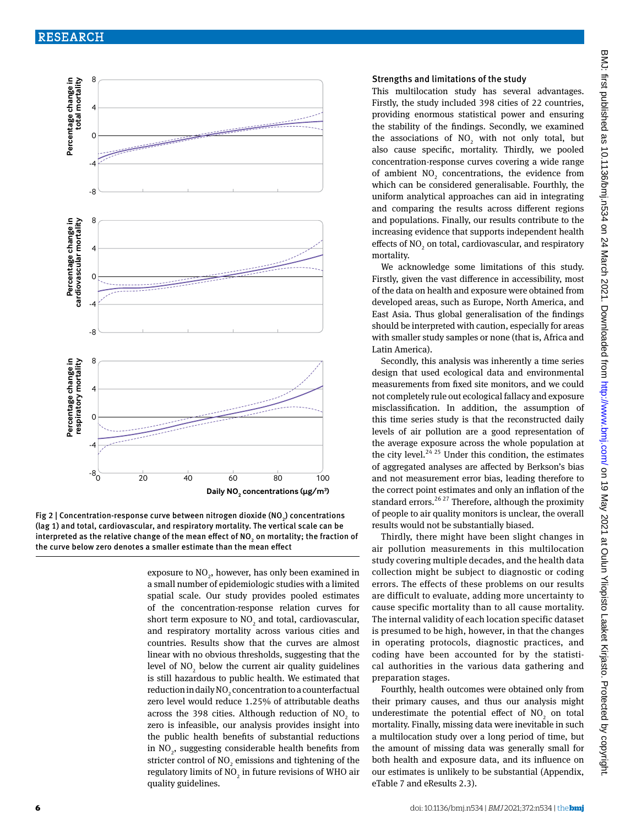

Fig 2 | Concentration-response curve between nitrogen dioxide (NO<sub>2</sub>) concentrations (lag 1) and total, cardiovascular, and respiratory mortality. The vertical scale can be interpreted as the relative change of the mean effect of NO<sub>2</sub> on mortality; the fraction of the curve below zero denotes a smaller estimate than the mean effect

exposure to  $\mathrm{NO}_2^{}$ , however, has only been examined in a small number of epidemiologic studies with a limited spatial scale. Our study provides pooled estimates of the concentration-response relation curves for short term exposure to  $NO_2$  and total, cardiovascular, and respiratory mortality across various cities and countries. Results show that the curves are almost linear with no obvious thresholds, suggesting that the level of  $NO_2$  below the current air quality guidelines is still hazardous to public health. We estimated that reduction in daily NO<sub>2</sub> concentration to a counterfactual zero level would reduce 1.25% of attributable deaths across the 398 cities. Although reduction of  $NO<sub>2</sub>$  to zero is infeasible, our analysis provides insight into the public health benefits of substantial reductions in  $NO<sub>2</sub>$ , suggesting considerable health benefits from stricter control of  $\mathrm{NO}_2$  emissions and tightening of the regulatory limits of  $\mathrm{NO}_2$  in future revisions of WHO air quality guidelines.

#### Strengths and limitations of the study

This multilocation study has several advantages. Firstly, the study included 398 cities of 22 countries, providing enormous statistical power and ensuring the stability of the findings. Secondly, we examined the associations of  $NO<sub>2</sub>$  with not only total, but also cause specific, mortality. Thirdly, we pooled concentration-response curves covering a wide range of ambient  $NO<sub>2</sub>$  concentrations, the evidence from which can be considered generalisable. Fourthly, the uniform analytical approaches can aid in integrating and comparing the results across different regions and populations. Finally, our results contribute to the increasing evidence that supports independent health effects of  $NO_2$  on total, cardiovascular, and respiratory mortality.

We acknowledge some limitations of this study. Firstly, given the vast difference in accessibility, most of the data on health and exposure were obtained from developed areas, such as Europe, North America, and East Asia. Thus global generalisation of the findings should be interpreted with caution, especially for areas with smaller study samples or none (that is, Africa and Latin America).

Secondly, this analysis was inherently a time series design that used ecological data and environmental measurements from fixed site monitors, and we could not completely rule out ecological fallacy and exposure misclassification. In addition, the assumption of this time series study is that the reconstructed daily levels of air pollution are a good representation of the average exposure across the whole population at the city level.<sup>24, 25</sup> Under this condition, the estimates of aggregated analyses are affected by Berkson's bias and not measurement error bias, leading therefore to the correct point estimates and only an inflation of the standard errors.<sup>26, 27</sup> Therefore, although the proximity of people to air quality monitors is unclear, the overall results would not be substantially biased.

Thirdly, there might have been slight changes in air pollution measurements in this multilocation study covering multiple decades, and the health data collection might be subject to diagnostic or coding errors. The effects of these problems on our results are difficult to evaluate, adding more uncertainty to cause specific mortality than to all cause mortality. The internal validity of each location specific dataset is presumed to be high, however, in that the changes in operating protocols, diagnostic practices, and coding have been accounted for by the statistical authorities in the various data gathering and preparation stages.

Fourthly, health outcomes were obtained only from their primary causes, and thus our analysis might underestimate the potential effect of  $NO<sub>2</sub>$  on total mortality. Finally, missing data were inevitable in such a multilocation study over a long period of time, but the amount of missing data was generally small for both health and exposure data, and its influence on our estimates is unlikely to be substantial (Appendix, eTable 7 and eResults 2.3).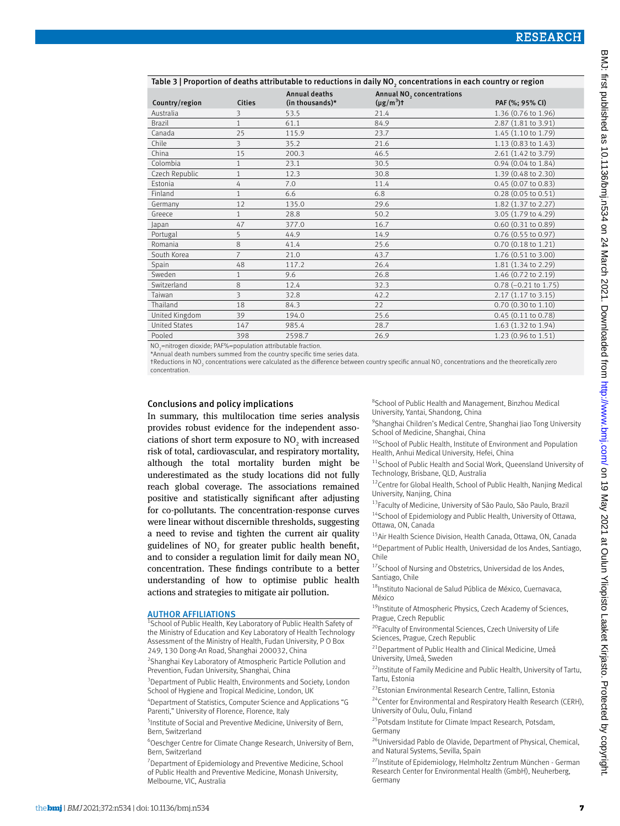| Table 3   Proportion of deaths attributable to reductions in daily NO, concentrations in each country or region |                |                                         |                                                          |                               |  |  |
|-----------------------------------------------------------------------------------------------------------------|----------------|-----------------------------------------|----------------------------------------------------------|-------------------------------|--|--|
| Country/region                                                                                                  | <b>Cities</b>  | <b>Annual deaths</b><br>(in thousands)* | Annual NO <sub>2</sub> concentrations<br>$(\mu g/m^3)$ t | PAF (%; 95% CI)               |  |  |
| Australia                                                                                                       | 3              | 53.5                                    | 21.4                                                     | 1.36 (0.76 to 1.96)           |  |  |
| Brazil                                                                                                          | $\mathbf{1}$   | 61.1                                    | 84.9                                                     | 2.87 (1.81 to 3.91)           |  |  |
| Canada                                                                                                          | 25             | 115.9                                   | 23.7                                                     | 1.45 (1.10 to 1.79)           |  |  |
| Chile                                                                                                           | 3              | 35.2                                    | 21.6                                                     | 1.13 (0.83 to 1.43)           |  |  |
| China                                                                                                           | 15             | 200.3                                   | 46.5                                                     | 2.61 (1.42 to 3.79)           |  |  |
| Colombia                                                                                                        | $\mathbf{1}$   | 23.1                                    | 30.5                                                     | 0.94 (0.04 to 1.84)           |  |  |
| Czech Republic                                                                                                  |                | 12.3                                    | 30.8                                                     | 1.39 (0.48 to 2.30)           |  |  |
| Estonia                                                                                                         | 4              | 7.0                                     | 11.4                                                     | 0.45 (0.07 to 0.83)           |  |  |
| Finland                                                                                                         | $\mathbf{1}$   | 6.6                                     | 6.8                                                      | $0.28(0.05 \text{ to } 0.51)$ |  |  |
| Germany                                                                                                         | 12             | 135.0                                   | 29.6                                                     | 1.82 (1.37 to 2.27)           |  |  |
| Greece                                                                                                          | $\mathbf{1}$   | 28.8                                    | 50.2                                                     | 3.05 (1.79 to 4.29)           |  |  |
| Japan                                                                                                           | 47             | 377.0                                   | 16.7                                                     | 0.60 (0.31 to 0.89)           |  |  |
| Portugal                                                                                                        | 5              | 44.9                                    | 14.9                                                     | $0.76$ (0.55 to 0.97)         |  |  |
| Romania                                                                                                         | 8              | 41.4                                    | 25.6                                                     | $0.70(0.18 \text{ to } 1.21)$ |  |  |
| South Korea                                                                                                     | $\overline{7}$ | 21.0                                    | 43.7                                                     | 1.76 (0.51 to 3.00)           |  |  |
| Spain                                                                                                           | 48             | 117.2                                   | 26.4                                                     | 1.81 (1.34 to 2.29)           |  |  |
| Sweden                                                                                                          |                | 9.6                                     | 26.8                                                     | 1.46 (0.72 to 2.19)           |  |  |
| Switzerland                                                                                                     | 8              | 12.4                                    | 32.3                                                     | 0.78 (-0.21 to 1.75)          |  |  |
| Taiwan                                                                                                          | 3              | 32.8                                    | 42.2                                                     | 2.17 (1.17 to 3.15)           |  |  |
| Thailand                                                                                                        | 18             | 84.3                                    | 22                                                       | 0.70 (0.30 to 1.10)           |  |  |
| United Kingdom                                                                                                  | 39             | 194.0                                   | 25.6                                                     | 0.45 (0.11 to 0.78)           |  |  |
| <b>United States</b>                                                                                            | 147            | 985.4                                   | 28.7                                                     | 1.63 (1.32 to 1.94)           |  |  |
| Pooled                                                                                                          | 398            | 2598.7                                  | 26.9                                                     | 1.23 (0.96 to 1.51)           |  |  |
| NO, pitrography diavide, DAE %, population ottributeble fraction                                                |                |                                         |                                                          |                               |  |  |

NO<sub>2</sub>=nitrogen dioxide; PAF%=population attributable fraction.<br>\*Annual death numbers summed from the country specific time series data.

†Reductions in NO2 concentrations were calculated as the difference between country specific annual NO2 concentrations and the theoretically zero

concentration.

#### Conclusions and policy implications

In summary, this multilocation time series analysis provides robust evidence for the independent associations of short term exposure to  $NO<sub>2</sub>$  with increased risk of total, cardiovascular, and respiratory mortality, although the total mortality burden might be underestimated as the study locations did not fully reach global coverage. The associations remained positive and statistically significant after adjusting for co-pollutants. The concentration-response curves were linear without discernible thresholds, suggesting a need to revise and tighten the current air quality guidelines of  $NO<sub>2</sub>$  for greater public health benefit, and to consider a regulation limit for daily mean NO<sub>2</sub> concentration. These findings contribute to a better understanding of how to optimise public health actions and strategies to mitigate air pollution.

### **AUTHOR AFFILIATIONS**

<sup>1</sup>School of Public Health, Key Laboratory of Public Health Safety of the Ministry of Education and Key Laboratory of Health Technology Assessment of the Ministry of Health, Fudan University, P O Box 249, 130 Dong-An Road, Shanghai 200032, China

<sup>2</sup> Shanghai Key Laboratory of Atmospheric Particle Pollution and Prevention, Fudan University, Shanghai, China

<sup>3</sup> Department of Public Health, Environments and Society, London School of Hygiene and Tropical Medicine, London, UK

4 Department of Statistics, Computer Science and Applications "G Parenti," University of Florence, Florence, Italy

5 Institute of Social and Preventive Medicine, University of Bern, Bern, Switzerland

6 Oeschger Centre for Climate Change Research, University of Bern, Bern, Switzerland

<sup>7</sup> Department of Epidemiology and Preventive Medicine, School of Public Health and Preventive Medicine, Monash University, Melbourne, VIC, Australia

8 School of Public Health and Management, Binzhou Medical University, Yantai, Shandong, China

9 Shanghai Children's Medical Centre, Shanghai Jiao Tong University School of Medicine, Shanghai, China

- <sup>10</sup>School of Public Health, Institute of Environment and Population Health, Anhui Medical University, Hefei, China
- <sup>11</sup>School of Public Health and Social Work, Queensland University of Technology, Brisbane, QLD, Australia
- <sup>12</sup>Centre for Global Health, School of Public Health, Nanjing Medical University, Nanjing, China
- 13Faculty of Medicine, University of São Paulo, São Paulo, Brazil

 $14$ School of Epidemiology and Public Health, University of Ottawa, Ottawa, ON, Canada

<sup>15</sup>Air Health Science Division, Health Canada, Ottawa, ON, Canada <sup>16</sup>Department of Public Health, Universidad de los Andes, Santiago, Chile

<sup>17</sup>School of Nursing and Obstetrics, Universidad de los Andes, Santiago, Chile

18Instituto Nacional de Salud Pública de México, Cuernavaca, México

<sup>19</sup>Institute of Atmospheric Physics, Czech Academy of Sciences, Prague, Czech Republic

<sup>20</sup>Faculty of Environmental Sciences, Czech University of Life Sciences, Prague, Czech Republic

<sup>21</sup> Department of Public Health and Clinical Medicine, Umeå University, Umeå, Sweden

 $22$ Institute of Family Medicine and Public Health, University of Tartu, Tartu, Estonia

23Estonian Environmental Research Centre, Tallinn, Estonia

<sup>24</sup> Center for Environmental and Respiratory Health Research (CERH), University of Oulu, Oulu, Finland

<sup>25</sup>Potsdam Institute for Climate Impact Research, Potsdam, Germany

26Universidad Pablo de Olavide, Department of Physical, Chemical, and Natural Systems, Sevilla, Spain

<sup>27</sup> Institute of Epidemiology, Helmholtz Zentrum München - German Research Center for Environmental Health (GmbH), Neuherberg, Germany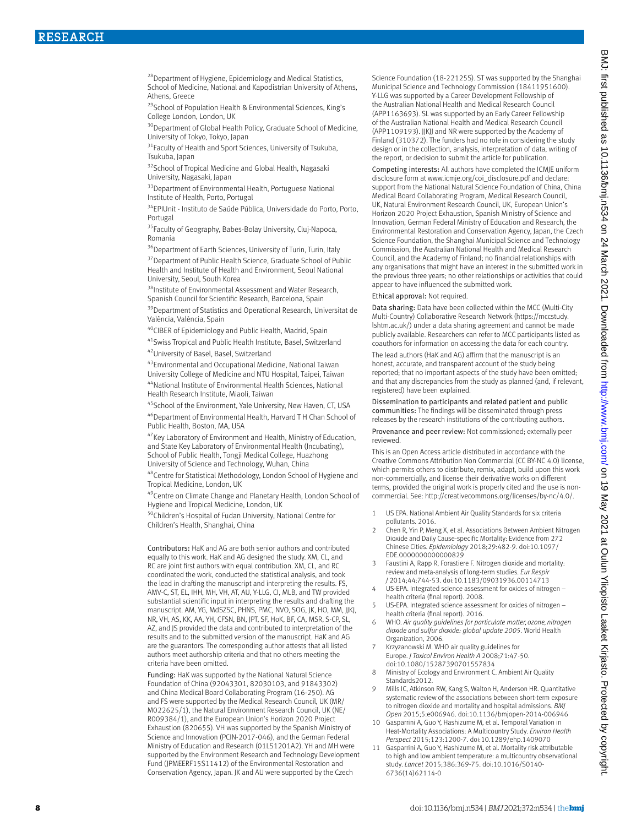<sup>28</sup> Department of Hygiene, Epidemiology and Medical Statistics, School of Medicine, National and Kapodistrian University of Athens, Athens, Greece

29School of Population Health & Environmental Sciences, King's College London, London, UK

<sup>30</sup>Department of Global Health Policy, Graduate School of Medicine, University of Tokyo, Tokyo, Japan

<sup>31</sup> Faculty of Health and Sport Sciences, University of Tsukuba, Tsukuba, Japan

<sup>32</sup>School of Tropical Medicine and Global Health, Nagasaki University, Nagasaki, Japan

<sup>33</sup> Department of Environmental Health, Portuguese National Institute of Health, Porto, Portugal

34EPIUnit - Instituto de Saúde Pública, Universidade do Porto, Porto, Portugal

<sup>35</sup>Faculty of Geography, Babes-Bolay University, Cluj-Napoca, Romania

<sup>36</sup>Department of Earth Sciences, University of Turin, Turin, Italy

<sup>37</sup> Department of Public Health Science, Graduate School of Public Health and Institute of Health and Environment, Seoul National University, Seoul, South Korea

38Institute of Environmental Assessment and Water Research, Spanish Council for Scientific Research, Barcelona, Spain

<sup>39</sup>Department of Statistics and Operational Research, Universitat de València, València, Spain

40CIBER of Epidemiology and Public Health, Madrid, Spain

41Swiss Tropical and Public Health Institute, Basel, Switzerland 42 University of Basel, Basel, Switzerland

43Environmental and Occupational Medicine, National Taiwan

University College of Medicine and NTU Hospital, Taipei, Taiwan 44National Institute of Environmental Health Sciences, National

Health Research Institute, Miaoli, Taiwan

45 School of the Environment, Yale University, New Haven, CT, USA 46Department of Environmental Health, Harvard T H Chan School of Public Health, Boston, MA, USA

<sup>47</sup>Key Laboratory of Environment and Health, Ministry of Education, and State Key Laboratory of Environmental Health (Incubating), School of Public Health, Tongji Medical College, Huazhong University of Science and Technology, Wuhan, China

48Centre for Statistical Methodology, London School of Hygiene and Tropical Medicine, London, UK

49Centre on Climate Change and Planetary Health, London School of Hygiene and Tropical Medicine, London, UK

50Children's Hospital of Fudan University, National Centre for Children's Health, Shanghai, China

Contributors: HaK and AG are both senior authors and contributed equally to this work. HaK and AG designed the study. XM, CL, and RC are joint first authors with equal contribution. XM, CL, and RC coordinated the work, conducted the statistical analysis, and took the lead in drafting the manuscript and interpreting the results. FS, AMV-C, ST, EL, IHH, MH, VH, AT, AU, Y-LLG, CI, MLB, and TW provided substantial scientific input in interpreting the results and drafting the manuscript. AM, YG, MdSZSC, PHNS, PMC, NVO, SOG, JK, HO, MM, JJKJ, NR, VH, AS, KK, AA, YH, CFSN, BN, JPT, SF, HoK, BF, CA, MSR, S-CP, SL, AZ, and JS provided the data and contributed to interpretation of the results and to the submitted version of the manuscript. HaK and AG are the guarantors. The corresponding author attests that all listed authors meet authorship criteria and that no others meeting the criteria have been omitted.

Funding: HaK was supported by the National Natural Science Foundation of China (92043301, 82030103, and 91843302) and China Medical Board Collaborating Program (16-250). AG and FS were supported by the Medical Research Council, UK (MR/ M022625/1), the Natural Environment Research Council, UK (NE/ R009384/1), and the European Union's Horizon 2020 Project Exhaustion (820655). VH was supported by the Spanish Ministry of Science and Innovation (PCIN-2017-046), and the German Federal Ministry of Education and Research (01LS1201A2). YH and MH were supported by the Environment Research and Technology Development Fund (JPMEERF15S11412) of the Environmental Restoration and Conservation Agency, Japan. JK and AU were supported by the Czech

Science Foundation (18-22125S). ST was supported by the Shanghai Municipal Science and Technology Commission (18411951600). Y-LLG was supported by a Career Development Fellowship of the Australian National Health and Medical Research Council (APP1163693). SL was supported by an Early Career Fellowship of the Australian National Health and Medical Research Council (APP1109193). JJKJJ and NR were supported by the Academy of Finland (310372). The funders had no role in considering the study design or in the collection, analysis, interpretation of data, writing of the report, or decision to submit the article for publication.

Competing interests: All authors have completed the ICMJE uniform disclosure form at [www.icmje.org/coi\\_disclosure.pdf](http://www.icmje.org/coi_disclosure.pdf) and declare: support from the National Natural Science Foundation of China, China Medical Board Collaborating Program, Medical Research Council, UK, Natural Environment Research Council, UK, European Union's Horizon 2020 Project Exhaustion, Spanish Ministry of Science and Innovation, German Federal Ministry of Education and Research, the Environmental Restoration and Conservation Agency, Japan, the Czech Science Foundation, the Shanghai Municipal Science and Technology Commission, the Australian National Health and Medical Research Council, and the Academy of Finland; no financial relationships with any organisations that might have an interest in the submitted work in the previous three years; no other relationships or activities that could appear to have influenced the submitted work.

#### Ethical approval: Not required.

Data sharing: Data have been collected within the MCC (Multi-City Multi-Country) Collaborative Research Network [\(https://mccstudy.](https://mccstudy.lshtm.ac.uk/) [lshtm.ac.uk/\)](https://mccstudy.lshtm.ac.uk/) under a data sharing agreement and cannot be made publicly available. Researchers can refer to MCC participants listed as coauthors for information on accessing the data for each country.

The lead authors (HaK and AG) affirm that the manuscript is an honest, accurate, and transparent account of the study being reported; that no important aspects of the study have been omitted; and that any discrepancies from the study as planned (and, if relevant, registered) have been explained.

Dissemination to participants and related patient and public communities: The findings will be disseminated through press releases by the research institutions of the contributing authors.

Provenance and peer review: Not commissioned; externally peer reviewed.

This is an Open Access article distributed in accordance with the Creative Commons Attribution Non Commercial (CC BY-NC 4.0) license, which permits others to distribute, remix, adapt, build upon this work non-commercially, and license their derivative works on different terms, provided the original work is properly cited and the use is noncommercial. See:<http://creativecommons.org/licenses/by-nc/4.0/>.

- 1 US EPA. National Ambient Air Quality Standards for six criteria pollutants. 2016.
- 2 Chen R, Yin P, Meng X, et al. Associations Between Ambient Nitrogen Dioxide and Daily Cause-specific Mortality: Evidence from 272 Chinese Cities. *Epidemiology* 2018;29:482-9. doi:10.1097/ EDE.0000000000000829
- 3 Faustini A, Rapp R, Forastiere F. Nitrogen dioxide and mortality: review and meta-analysis of long-term studies. *Eur Respir J* 2014;44:744-53. doi:10.1183/09031936.00114713
- 4 US-EPA. Integrated science assessment for oxides of nitrogen health criteria (final report). 2008.
- 5 US-EPA. Integrated science assessment for oxides of nitrogen health criteria (final report). 2016.
- 6 WHO. *Air quality guidelines for particulate matter, ozone, nitrogen dioxide and sulfur dioxide: global update 2005.* World Health Organization, 2006.
- 7 Krzyzanowski M. WHO air quality guidelines for Europe. *J Toxicol Environ Health A* 2008;71:47-50. doi:10.1080/15287390701557834
- 8 Ministry of Ecology and Environment C. Ambient Air Quality Standards2012.
- 9 Mills IC, Atkinson RW, Kang S, Walton H, Anderson HR. Quantitative systematic review of the associations between short-term exposure to nitrogen dioxide and mortality and hospital admissions. *BMJ Open* 2015;5:e006946. doi:10.1136/bmjopen-2014-006946
- 10 Gasparrini A, Guo Y, Hashizume M, et al. Temporal Variation in Heat-Mortality Associations: A Multicountry Study. *Environ Health Perspect* 2015;123:1200-7. doi:10.1289/ehp.1409070
- 11 Gasparrini A, Guo Y, Hashizume M, et al. Mortality risk attributable to high and low ambient temperature: a multicountry observational study. *Lancet* 2015;386:369-75. doi:10.1016/S0140- 6736(14)62114-0